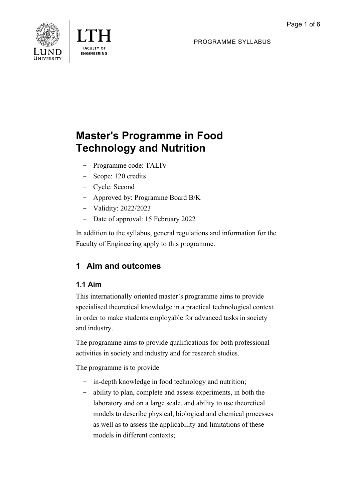PROGRAMME SYLLABUS





# **Master's Programme in Food Technology and Nutrition**

- Programme code: TALIV
- Scope: 120 credits
- Cycle: Second
- Approved by: Programme Board B/K
- Validity: 2022/2023
- Date of approval: 15 February 2022

In addition to the syllabus, general regulations and information for the Faculty of Engineering apply to this programme.

## **1 Aim and outcomes**

## **1.1 Aim**

This internationally oriented master's programme aims to provide specialised theoretical knowledge in a practical technological context in order to make students employable for advanced tasks in society and industry.

The programme aims to provide qualifications for both professional activities in society and industry and for research studies.

The programme is to provide

- in-depth knowledge in food technology and nutrition;
- ability to plan, complete and assess experiments, in both the laboratory and on a large scale, and ability to use theoretical models to describe physical, biological and chemical processes as well as to assess the applicability and limitations of these models in different contexts;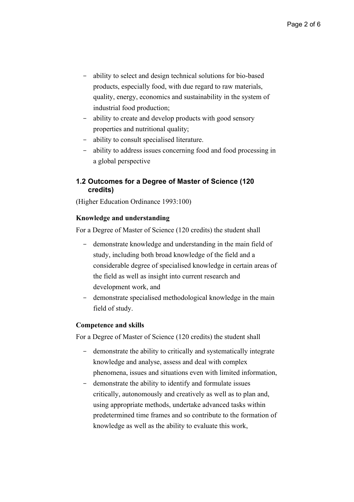- ability to select and design technical solutions for bio-based products, especially food, with due regard to raw materials, quality, energy, economics and sustainability in the system of industrial food production;
- ability to create and develop products with good sensory properties and nutritional quality;
- ability to consult specialised literature.
- ability to address issues concerning food and food processing in a global perspective

#### **1.2 Outcomes for a Degree of Master of Science (120 credits)**

(Higher Education Ordinance 1993:100)

#### **Knowledge and understanding**

For a Degree of Master of Science (120 credits) the student shall

- demonstrate knowledge and understanding in the main field of study, including both broad knowledge of the field and a considerable degree of specialised knowledge in certain areas of the field as well as insight into current research and development work, and
- demonstrate specialised methodological knowledge in the main field of study.

#### **Competence and skills**

For a Degree of Master of Science (120 credits) the student shall

- demonstrate the ability to critically and systematically integrate knowledge and analyse, assess and deal with complex phenomena, issues and situations even with limited information,
- demonstrate the ability to identify and formulate issues critically, autonomously and creatively as well as to plan and, using appropriate methods, undertake advanced tasks within predetermined time frames and so contribute to the formation of knowledge as well as the ability to evaluate this work,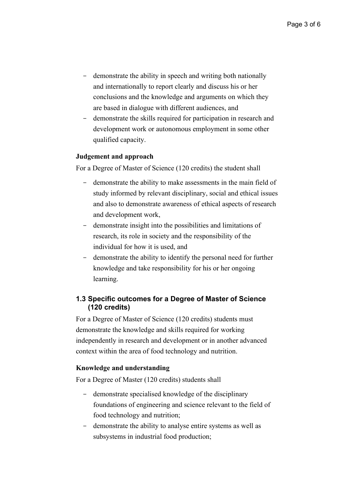- demonstrate the ability in speech and writing both nationally and internationally to report clearly and discuss his or her conclusions and the knowledge and arguments on which they are based in dialogue with different audiences, and
- demonstrate the skills required for participation in research and development work or autonomous employment in some other qualified capacity.

#### **Judgement and approach**

For a Degree of Master of Science (120 credits) the student shall

- demonstrate the ability to make assessments in the main field of study informed by relevant disciplinary, social and ethical issues and also to demonstrate awareness of ethical aspects of research and development work,
- demonstrate insight into the possibilities and limitations of research, its role in society and the responsibility of the individual for how it is used, and
- demonstrate the ability to identify the personal need for further knowledge and take responsibility for his or her ongoing learning.

#### **1.3 Specific outcomes for a Degree of Master of Science (120 credits)**

For a Degree of Master of Science (120 credits) students must demonstrate the knowledge and skills required for working independently in research and development or in another advanced context within the area of food technology and nutrition.

#### **Knowledge and understanding**

For a Degree of Master (120 credits) students shall

- demonstrate specialised knowledge of the disciplinary foundations of engineering and science relevant to the field of food technology and nutrition;
- demonstrate the ability to analyse entire systems as well as subsystems in industrial food production;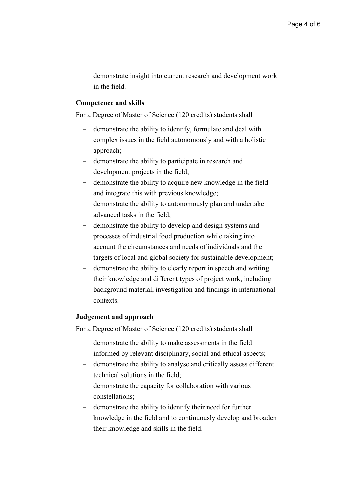- demonstrate insight into current research and development work in the field.

#### **Competence and skills**

For a Degree of Master of Science (120 credits) students shall

- demonstrate the ability to identify, formulate and deal with complex issues in the field autonomously and with a holistic approach;
- demonstrate the ability to participate in research and development projects in the field;
- demonstrate the ability to acquire new knowledge in the field and integrate this with previous knowledge;
- demonstrate the ability to autonomously plan and undertake advanced tasks in the field;
- demonstrate the ability to develop and design systems and processes of industrial food production while taking into account the circumstances and needs of individuals and the targets of local and global society for sustainable development;
- demonstrate the ability to clearly report in speech and writing their knowledge and different types of project work, including background material, investigation and findings in international contexts.

#### **Judgement and approach**

For a Degree of Master of Science (120 credits) students shall

- demonstrate the ability to make assessments in the field informed by relevant disciplinary, social and ethical aspects;
- demonstrate the ability to analyse and critically assess different technical solutions in the field;
- demonstrate the capacity for collaboration with various constellations;
- demonstrate the ability to identify their need for further knowledge in the field and to continuously develop and broaden their knowledge and skills in the field.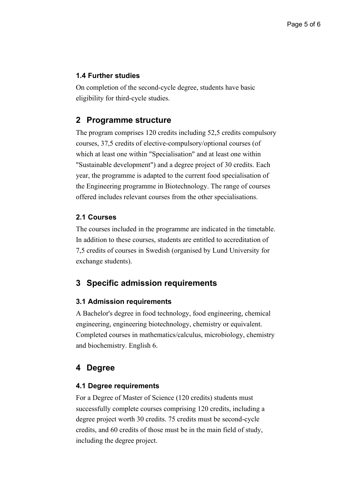#### **1.4 Further studies**

On completion of the second-cycle degree, students have basic eligibility for third-cycle studies.

## **2 Programme structure**

The program comprises 120 credits including 52,5 credits compulsory courses, 37,5 credits of elective-compulsory/optional courses (of which at least one within "Specialisation" and at least one within "Sustainable development") and a degree project of 30 credits. Each year, the programme is adapted to the current food specialisation of the Engineering programme in Biotechnology. The range of courses offered includes relevant courses from the other specialisations.

#### **2.1 Courses**

The courses included in the programme are indicated in the timetable. In addition to these courses, students are entitled to accreditation of 7,5 credits of courses in Swedish (organised by Lund University for exchange students).

## **3 Specific admission requirements**

#### **3.1 Admission requirements**

A Bachelor's degree in food technology, food engineering, chemical engineering, engineering biotechnology, chemistry or equivalent. Completed courses in mathematics/calculus, microbiology, chemistry and biochemistry. English 6.

## **4 Degree**

#### **4.1 Degree requirements**

For a Degree of Master of Science (120 credits) students must successfully complete courses comprising 120 credits, including a degree project worth 30 credits. 75 credits must be second-cycle credits, and 60 credits of those must be in the main field of study, including the degree project.